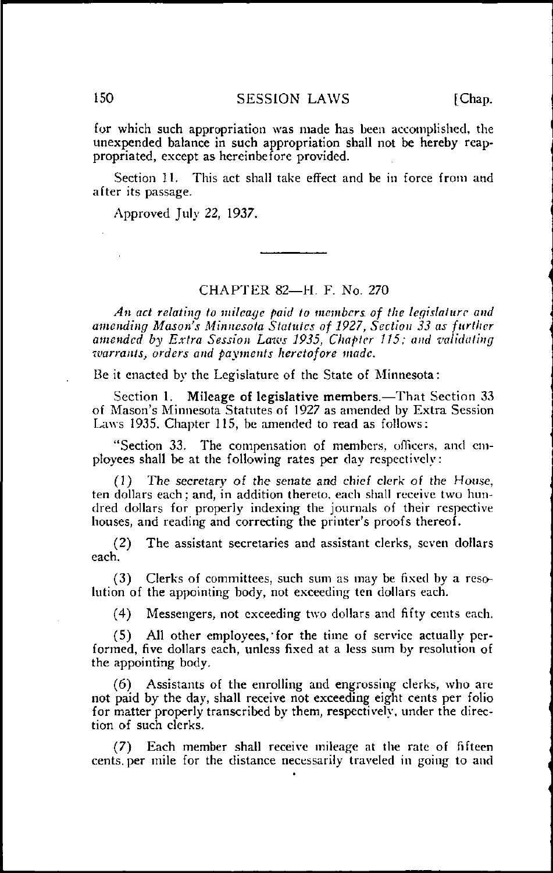150 SESSION LAWS [Chap.

for which such appropriation was made has been accomplished, the unexpended balance in such appropriation shall not be hereby reappropriated, except as hereinbefore provided.

Section 11. This act shall take effect and be in force from and after its passage.

Approved July 22, 1937.

## CHAPTER 82—H. F. No. 270

An act relating to mileage paid to members of the legislature and amending Mason's Minnesota Statutes of 1927, Section 33 as further amended by Extra Session Laws 1935, Chapter 115; and validating warrants, orders and payments heretofore made.

Be it enacted by the Legislature of the State of Minnesota:

Section 1. Mileage of legislative members.—That Section 33 of Mason's Minnesota Statutes of 1927 as amended by Extra Session Laws 1935, Chapter 115, be amended to read as follows:

"Section 33. The compensation of members, officers, and employees shall be at the following rates per day respectively:

(1) The secretary of the senate and chief clerk of the House, ten dollars each; and, in addition thereto, each shall receive two hundred dollars for properly indexing the journals of their respective houses, and reading and correcting the printer's proofs thereof.

(2) The assistant secretaries and assistant clerks, seven dollars each.

(3) Clerks of committees, such sum as may be fixed by a resolution of the appointing body, not exceeding ten dollars each.

(4) Messengers, not exceeding two dollars and fifty cents each.

(5) All other employees,'for the time of service actually performed, five dollars each, unless fixed at a less sum by resolution of the appointing body.

(6) Assistants of the enrolling and engrossing clerks, who are not paid by the day, shall receive not exceeding eight cents per folio for matter properly transcribed by them, respectively, under the direction of such clerks.

(7) Each member shall receive mileage at the rate of fifteen cents, per mile for the distance necessarily traveled in going to and